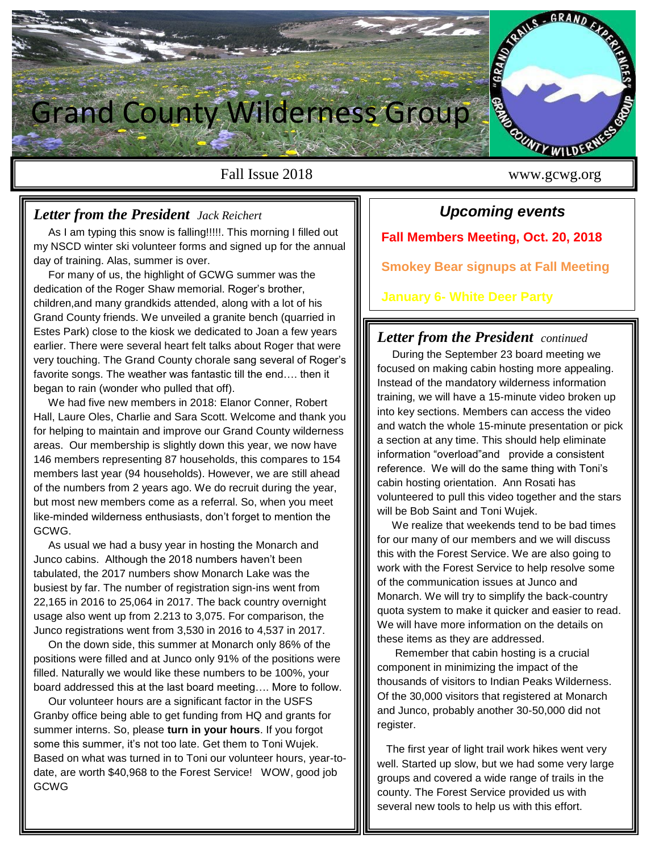

### *Letter from the President Jack Reichert*

 As I am typing this snow is falling!!!!!. This morning I filled out my NSCD winter ski volunteer forms and signed up for the annual day of training. Alas, summer is over.

 For many of us, the highlight of GCWG summer was the dedication of the Roger Shaw memorial. Roger's brother, children,and many grandkids attended, along with a lot of his Grand County friends. We unveiled a granite bench (quarried in Estes Park) close to the kiosk we dedicated to Joan a few years earlier. There were several heart felt talks about Roger that were very touching. The Grand County chorale sang several of Roger's favorite songs. The weather was fantastic till the end…. then it began to rain (wonder who pulled that off).

 We had five new members in 2018: Elanor Conner, Robert Hall, Laure Oles, Charlie and Sara Scott. Welcome and thank you for helping to maintain and improve our Grand County wilderness areas. Our membership is slightly down this year, we now have 146 members representing 87 households, this compares to 154 members last year (94 households). However, we are still ahead of the numbers from 2 years ago. We do recruit during the year, but most new members come as a referral. So, when you meet like-minded wilderness enthusiasts, don't forget to mention the GCWG.

 As usual we had a busy year in hosting the Monarch and Junco cabins. Although the 2018 numbers haven't been tabulated, the 2017 numbers show Monarch Lake was the busiest by far. The number of registration sign-ins went from 22,165 in 2016 to 25,064 in 2017. The back country overnight usage also went up from 2.213 to 3,075. For comparison, the Junco registrations went from 3,530 in 2016 to 4,537 in 2017.

 On the down side, this summer at Monarch only 86% of the positions were filled and at Junco only 91% of the positions were filled. Naturally we would like these numbers to be 100%, your board addressed this at the last board meeting…. More to follow.

 Our volunteer hours are a significant factor in the USFS Granby office being able to get funding from HQ and grants for summer interns. So, please **turn in your hours**. If you forgot some this summer, it's not too late. Get them to Toni Wujek. Based on what was turned in to Toni our volunteer hours, year-todate, are worth \$40,968 to the Forest Service! WOW, good job GCWG

*Upcoming events* **Fall Members Meeting, Oct. 20, 2018**

**Smokey Bear signups at Fall Meeting**

**January 6- White Deer Party**

## *Letter from the President continued*

 During the September 23 board meeting we focused on making cabin hosting more appealing. Instead of the mandatory wilderness information training, we will have a 15-minute video broken up into key sections. Members can access the video and watch the whole 15-minute presentation or pick a section at any time. This should help eliminate information "overload"and provide a consistent reference. We will do the same thing with Toni's cabin hosting orientation. Ann Rosati has volunteered to pull this video together and the stars will be Bob Saint and Toni Wujek.

 We realize that weekends tend to be bad times for our many of our members and we will discuss this with the Forest Service. We are also going to work with the Forest Service to help resolve some of the communication issues at Junco and Monarch. We will try to simplify the back-country quota system to make it quicker and easier to read. We will have more information on the details on these items as they are addressed.

 Remember that cabin hosting is a crucial component in minimizing the impact of the thousands of visitors to Indian Peaks Wilderness. Of the 30,000 visitors that registered at Monarch and Junco, probably another 30-50,000 did not register.

 The first year of light trail work hikes went very well. Started up slow, but we had some very large groups and covered a wide range of trails in the county. The Forest Service provided us with several new tools to help us with this effort.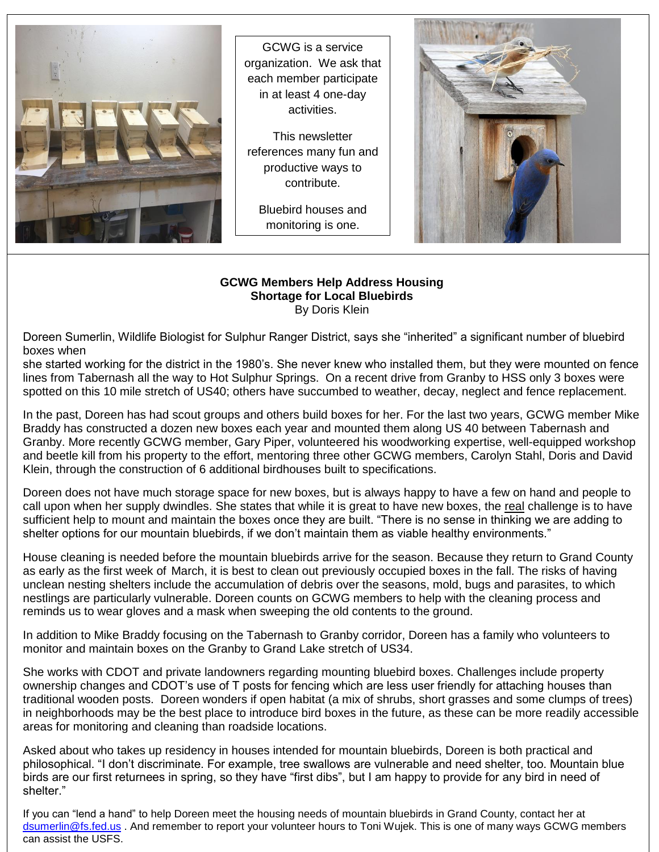

GCWG is a service organization. We ask that each member participate in at least 4 one-day activities.

This newsletter references many fun and productive ways to contribute.

Bluebird houses and monitoring is one.



#### **GCWG Members Help Address Housing Shortage for Local Bluebirds** By Doris Klein

Doreen Sumerlin, Wildlife Biologist for Sulphur Ranger District, says she "inherited" a significant number of bluebird boxes when

she started working for the district in the 1980's. She never knew who installed them, but they were mounted on fence lines from Tabernash all the way to Hot Sulphur Springs. On a recent drive from Granby to HSS only 3 boxes were spotted on this 10 mile stretch of US40; others have succumbed to weather, decay, neglect and fence replacement.

In the past, Doreen has had scout groups and others build boxes for her. For the last two years, GCWG member Mike Braddy has constructed a dozen new boxes each year and mounted them along US 40 between Tabernash and Granby. More recently GCWG member, Gary Piper, volunteered his woodworking expertise, well-equipped workshop and beetle kill from his property to the effort, mentoring three other GCWG members, Carolyn Stahl, Doris and David Klein, through the construction of 6 additional birdhouses built to specifications.

Doreen does not have much storage space for new boxes, but is always happy to have a few on hand and people to call upon when her supply dwindles. She states that while it is great to have new boxes, the real challenge is to have sufficient help to mount and maintain the boxes once they are built. "There is no sense in thinking we are adding to shelter options for our mountain bluebirds, if we don't maintain them as viable healthy environments."

House cleaning is needed before the mountain bluebirds arrive for the season. Because they return to Grand County as early as the first week of March, it is best to clean out previously occupied boxes in the fall. The risks of having unclean nesting shelters include the accumulation of debris over the seasons, mold, bugs and parasites, to which nestlings are particularly vulnerable. Doreen counts on GCWG members to help with the cleaning process and reminds us to wear gloves and a mask when sweeping the old contents to the ground.

In addition to Mike Braddy focusing on the Tabernash to Granby corridor, Doreen has a family who volunteers to monitor and maintain boxes on the Granby to Grand Lake stretch of US34.

 areas for monitoring and cleaning than roadside locations. She works with CDOT and private landowners regarding mounting bluebird boxes. Challenges include property ownership changes and CDOT's use of T posts for fencing which are less user friendly for attaching houses than traditional wooden posts. Doreen wonders if open habitat (a mix of shrubs, short grasses and some clumps of trees) in neighborhoods may be the best place to introduce bird boxes in the future, as these can be more readily accessible

Asked about who takes up residency in houses intended for mountain bluebirds, Doreen is both practical and philosophical. "I don't discriminate. For example, tree swallows are vulnerable and need shelter, too. Mountain blue birds are our first returnees in spring, so they have "first dibs", but I am happy to provide for any bird in need of shelter."

If you can "lend a hand" to help Doreen meet the housing needs of mountain bluebirds in Grand County, contact her at [dsumerlin@fs.fed.us](mailto:dsumerlin@fs.fed.us) . And remember to report your volunteer hours to Toni Wujek. This is one of many ways GCWG members can assist the USFS.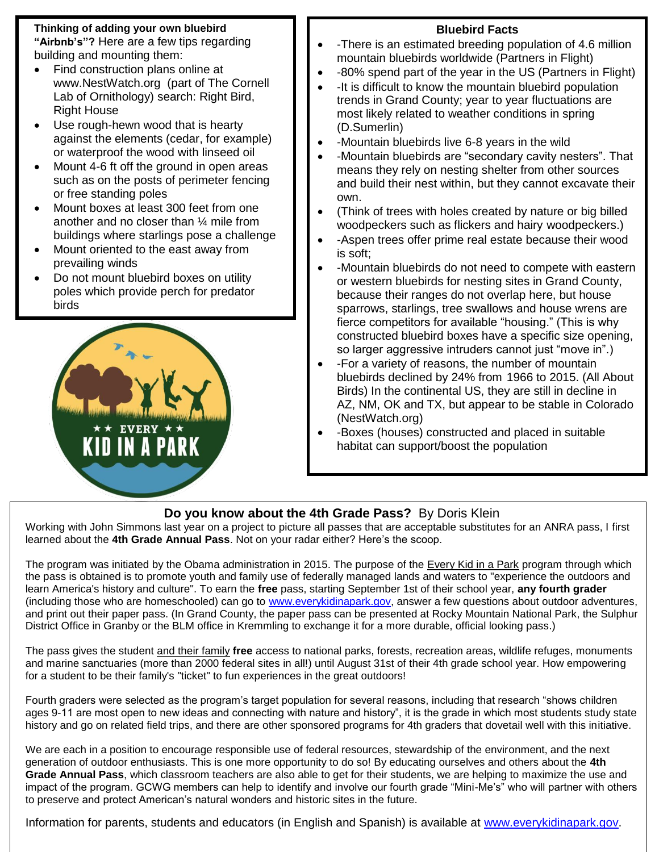## **Thinking of adding your own bluebird**

**"Airbnb's"?** Here are a few tips regarding building and mounting them:

- Find construction plans online at www.NestWatch.org (part of The Cornell Lab of Ornithology) search: Right Bird, Right House
- Use rough-hewn wood that is hearty against the elements (cedar, for example) or waterproof the wood with linseed oil
- Mount 4-6 ft off the ground in open areas such as on the posts of perimeter fencing or free standing poles
- Mount boxes at least 300 feet from one another and no closer than ¼ mile from buildings where starlings pose a challenge
- Mount oriented to the east away from prevailing winds
- Do not mount bluebird boxes on utility poles which provide perch for predator birds



֦

# **Bluebird Facts**

- -There is an estimated breeding population of 4.6 million mountain bluebirds worldwide (Partners in Flight)
- -80% spend part of the year in the US (Partners in Flight)
- -It is difficult to know the mountain bluebird population trends in Grand County; year to year fluctuations are most likely related to weather conditions in spring (D.Sumerlin)
- -Mountain bluebirds live 6-8 years in the wild
- -Mountain bluebirds are "secondary cavity nesters". That means they rely on nesting shelter from other sources and build their nest within, but they cannot excavate their own.
- (Think of trees with holes created by nature or big billed woodpeckers such as flickers and hairy woodpeckers.)
- -Aspen trees offer prime real estate because their wood is soft;
- -Mountain bluebirds do not need to compete with eastern or western bluebirds for nesting sites in Grand County, because their ranges do not overlap here, but house sparrows, starlings, tree swallows and house wrens are fierce competitors for available "housing." (This is why constructed bluebird boxes have a specific size opening, so larger aggressive intruders cannot just "move in".)
- -For a variety of reasons, the number of mountain bluebirds declined by 24% from 1966 to 2015. (All About Birds) In the continental US, they are still in decline in AZ, NM, OK and TX, but appear to be stable in Colorado (NestWatch.org)
- -Boxes (houses) constructed and placed in suitable habitat can support/boost the population

# **Do you know about the 4th Grade Pass?** By Doris Klein

Working with John Simmons last year on a project to picture all passes that are acceptable substitutes for an ANRA pass, I first learned about the **4th Grade Annual Pass**. Not on your radar either? Here's the scoop.

The program was initiated by the Obama administration in 2015. The purpose of the Every Kid in a Park program through which the pass is obtained is to promote youth and family use of federally managed lands and waters to "experience the outdoors and learn America's history and culture". To earn the **free** pass, starting September 1st of their school year, **any fourth grader** (including those who are homeschooled) can go to [www.everykidinapark.gov,](http://www.everykidinapark.gov/) answer a few questions about outdoor adventures, and print out their paper pass. (In Grand County, the paper pass can be presented at Rocky Mountain National Park, the Sulphur District Office in Granby or the BLM office in Kremmling to exchange it for a more durable, official looking pass.)

The pass gives the student and their family **free** access to national parks, forests, recreation areas, wildlife refuges, monuments and marine sanctuaries (more than 2000 federal sites in all!) until August 31st of their 4th grade school year. How empowering for a student to be their family's "ticket" to fun experiences in the great outdoors!

Fourth graders were selected as the program's target population for several reasons, including that research "shows children ages 9-11 are most open to new ideas and connecting with nature and history", it is the grade in which most students study state history and go on related field trips, and there are other sponsored programs for 4th graders that dovetail well with this initiative.

We are each in a position to encourage responsible use of federal resources, stewardship of the environment, and the next generation of outdoor enthusiasts. This is one more opportunity to do so! By educating ourselves and others about the **4th Grade Annual Pass**, which classroom teachers are also able to get for their students, we are helping to maximize the use and impact of the program. GCWG members can help to identify and involve our fourth grade "Mini-Me's" who will partner with others to preserve and protect American's natural wonders and historic sites in the future.

Information for parents, students and educators (in English and Spanish) is available at [www.everykidinapark.gov.](http://www.everykidinapark.gov/)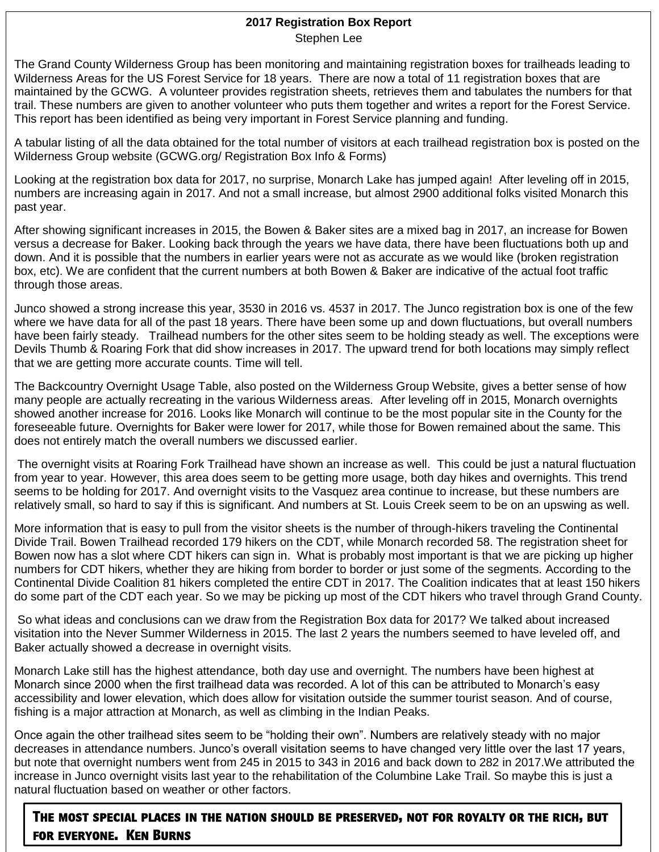### **2017 Registration Box Report** Stephen Lee

The Grand County Wilderness Group has been monitoring and maintaining registration boxes for trailheads leading to Wilderness Areas for the US Forest Service for 18 years. There are now a total of 11 registration boxes that are maintained by the GCWG. A volunteer provides registration sheets, retrieves them and tabulates the numbers for that trail. These numbers are given to another volunteer who puts them together and writes a report for the Forest Service. This report has been identified as being very important in Forest Service planning and funding.

A tabular listing of all the data obtained for the total number of visitors at each trailhead registration box is posted on the Wilderness Group website (GCWG.org/ Registration Box Info & Forms)

Looking at the registration box data for 2017, no surprise, Monarch Lake has jumped again! After leveling off in 2015, numbers are increasing again in 2017. And not a small increase, but almost 2900 additional folks visited Monarch this past year.

After showing significant increases in 2015, the Bowen & Baker sites are a mixed bag in 2017, an increase for Bowen versus a decrease for Baker. Looking back through the years we have data, there have been fluctuations both up and down. And it is possible that the numbers in earlier years were not as accurate as we would like (broken registration box, etc). We are confident that the current numbers at both Bowen & Baker are indicative of the actual foot traffic through those areas.

Junco showed a strong increase this year, 3530 in 2016 vs. 4537 in 2017. The Junco registration box is one of the few where we have data for all of the past 18 years. There have been some up and down fluctuations, but overall numbers have been fairly steady. Trailhead numbers for the other sites seem to be holding steady as well. The exceptions were Devils Thumb & Roaring Fork that did show increases in 2017. The upward trend for both locations may simply reflect that we are getting more accurate counts. Time will tell.

The Backcountry Overnight Usage Table, also posted on the Wilderness Group Website, gives a better sense of how many people are actually recreating in the various Wilderness areas. After leveling off in 2015, Monarch overnights showed another increase for 2016. Looks like Monarch will continue to be the most popular site in the County for the foreseeable future. Overnights for Baker were lower for 2017, while those for Bowen remained about the same. This does not entirely match the overall numbers we discussed earlier.

The overnight visits at Roaring Fork Trailhead have shown an increase as well. This could be just a natural fluctuation from year to year. However, this area does seem to be getting more usage, both day hikes and overnights. This trend seems to be holding for 2017. And overnight visits to the Vasquez area continue to increase, but these numbers are relatively small, so hard to say if this is significant. And numbers at St. Louis Creek seem to be on an upswing as well.

More information that is easy to pull from the visitor sheets is the number of through-hikers traveling the Continental Divide Trail. Bowen Trailhead recorded 179 hikers on the CDT, while Monarch recorded 58. The registration sheet for Bowen now has a slot where CDT hikers can sign in. What is probably most important is that we are picking up higher numbers for CDT hikers, whether they are hiking from border to border or just some of the segments. According to the Continental Divide Coalition 81 hikers completed the entire CDT in 2017. The Coalition indicates that at least 150 hikers do some part of the CDT each year. So we may be picking up most of the CDT hikers who travel through Grand County.

So what ideas and conclusions can we draw from the Registration Box data for 2017? We talked about increased visitation into the Never Summer Wilderness in 2015. The last 2 years the numbers seemed to have leveled off, and Baker actually showed a decrease in overnight visits.

Monarch Lake still has the highest attendance, both day use and overnight. The numbers have been highest at Monarch since 2000 when the first trailhead data was recorded. A lot of this can be attributed to Monarch's easy accessibility and lower elevation, which does allow for visitation outside the summer tourist season. And of course, fishing is a major attraction at Monarch, as well as climbing in the Indian Peaks.

Once again the other trailhead sites seem to be "holding their own". Numbers are relatively steady with no major decreases in attendance numbers. Junco's overall visitation seems to have changed very little over the last 17 years, but note that overnight numbers went from 245 in 2015 to 343 in 2016 and back down to 282 in 2017.We attributed the increase in Junco overnight visits last year to the rehabilitation of the Columbine Lake Trail. So maybe this is just a natural fluctuation based on weather or other factors.

**The most special places in the nation should be preserved, not for royalty or the rich, but for everyone. Ken Burns**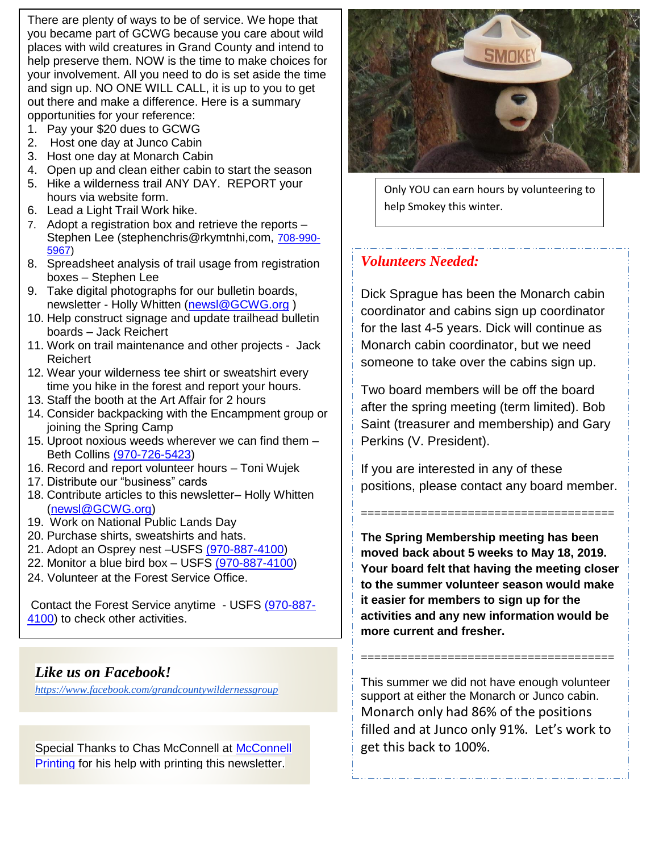There are plenty of ways to be of service. We hope that you became part of GCWG because you care about wild places with wild creatures in Grand County and intend to help preserve them. NOW is the time to make choices for your involvement. All you need to do is set aside the time and sign up. NO ONE WILL CALL, it is up to you to get out there and make a difference. Here is a summary opportunities for your reference:

- 1. Pay your \$20 dues to GCWG
- 2. Host one day at Junco Cabin
- 3. Host one day at Monarch Cabin
- 4. Open up and clean either cabin to start the season
- 5. Hike a wilderness trail ANY DAY. REPORT your hours via website form.
- 6. Lead a Light Trail Work hike.
- 7. Adopt a registration box and retrieve the reports Stephen Lee (stephenchris@rkymtnhi,com, [708-990-](tel:708-990-5967) [5967\)](tel:708-990-5967)
- 8. Spreadsheet analysis of trail usage from registration boxes – Stephen Lee
- 9. Take digital photographs for our bulletin boards, newsletter - Holly Whitten [\(newsl@GCWG.org](mailto:newsl@GCWG.org) )
- 10. Help construct signage and update trailhead bulletin boards – Jack Reichert
- 11. Work on trail maintenance and other projects Jack Reichert
- 12. Wear your wilderness tee shirt or sweatshirt every time you hike in the forest and report your hours.
- 13. Staff the booth at the Art Affair for 2 hours
- 14. Consider backpacking with the Encampment group or joining the Spring Camp
- 15. Uproot noxious weeds wherever we can find them Beth Collins [\(970-726-5423\)](tel:%28970-726-5423)
- 16. Record and report volunteer hours Toni Wujek
- 17. Distribute our "business" cards
- 18. Contribute articles to this newsletter– Holly Whitten [\(newsl@GCWG.org\)](mailto:newsl@GCWG.org)
- 19. Work on National Public Lands Day
- 20. Purchase shirts, sweatshirts and hats.
- 21. Adopt an Osprey nest –USFS [\(970-887-4100\)](tel:%28970-887-4100)
- 22. Monitor a blue bird box USFS [\(970-887-4100\)](tel:%28970-887-4100)
- 24. Volunteer at the Forest Service Office.

Contact the Forest Service anytime - USFS [\(970-887-](tel:%28970-887-4100) [4100\)](tel:%28970-887-4100) to check other activities.

## *Like us on Facebook!*

*<https://www.facebook.com/grandcountywildernessgroup>*

Special Thanks to Chas [McConnell](http://www.mcdesignprint.com/) at McConnell [Printing](http://www.mcdesignprint.com/) for his help with printing this newsletter.



Only YOU can earn hours by volunteering to help Smokey this winter.

## *Volunteers Needed:*

Dick Sprague has been the Monarch cabin coordinator and cabins sign up coordinator for the last 4-5 years. Dick will continue as Monarch cabin coordinator, but we need someone to take over the cabins sign up.

Two board members will be off the board after the spring meeting (term limited). Bob Saint (treasurer and membership) and Gary Perkins (V. President).

If you are interested in any of these positions, please contact any board member.

======================================

**The Spring Membership meeting has been moved back about 5 weeks to May 18, 2019. Your board felt that having the meeting closer to the summer volunteer season would make it easier for members to sign up for the activities and any new information would be more current and fresher.**

This summer we did not have enough volunteer support at either the Monarch or Junco cabin. Monarch only had 86% of the positions filled and at Junco only 91%. Let's work to get this back to 100%.

======================================